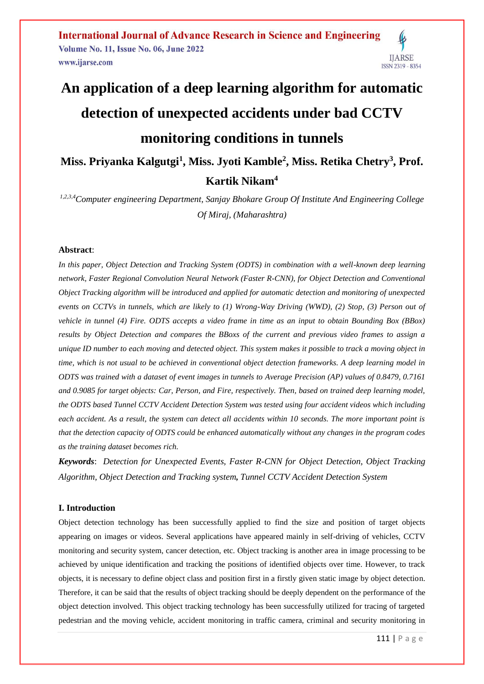# **An application of a deep learning algorithm for automatic detection of unexpected accidents under bad CCTV monitoring conditions in tunnels Miss. Priyanka Kalgutgi<sup>1</sup> , Miss. Jyoti Kamble<sup>2</sup> , Miss. Retika Chetry<sup>3</sup> , Prof.**

**Kartik Nikam<sup>4</sup>**

*1,2,3,4Computer engineering Department, Sanjay Bhokare Group Of Institute And Engineering College Of Miraj, (Maharashtra)*

# **Abstract**:

*In this paper, Object Detection and Tracking System (ODTS) in combination with a well-known deep learning network, Faster Regional Convolution Neural Network (Faster R-CNN), for Object Detection and Conventional Object Tracking algorithm will be introduced and applied for automatic detection and monitoring of unexpected events on CCTVs in tunnels, which are likely to (1) Wrong-Way Driving (WWD), (2) Stop, (3) Person out of vehicle in tunnel (4) Fire. ODTS accepts a video frame in time as an input to obtain Bounding Box (BBox) results by Object Detection and compares the BBoxs of the current and previous video frames to assign a unique ID number to each moving and detected object. This system makes it possible to track a moving object in time, which is not usual to be achieved in conventional object detection frameworks. A deep learning model in ODTS was trained with a dataset of event images in tunnels to Average Precision (AP) values of 0.8479, 0.7161 and 0.9085 for target objects: Car, Person, and Fire, respectively. Then, based on trained deep learning model, the ODTS based Tunnel CCTV Accident Detection System was tested using four accident videos which including each accident. As a result, the system can detect all accidents within 10 seconds. The more important point is that the detection capacity of ODTS could be enhanced automatically without any changes in the program codes as the training dataset becomes rich.*

*Keywords*: *Detection for Unexpected Events, Faster R-CNN for Object Detection, Object Tracking Algorithm, Object Detection and Tracking system, Tunnel CCTV Accident Detection System*

# **I. Introduction**

Object detection technology has been successfully applied to find the size and position of target objects appearing on images or videos. Several applications have appeared mainly in self-driving of vehicles, CCTV monitoring and security system, cancer detection, etc. Object tracking is another area in image processing to be achieved by unique identification and tracking the positions of identified objects over time. However, to track objects, it is necessary to define object class and position first in a firstly given static image by object detection. Therefore, it can be said that the results of object tracking should be deeply dependent on the performance of the object detection involved. This object tracking technology has been successfully utilized for tracing of targeted pedestrian and the moving vehicle, accident monitoring in traffic camera, criminal and security monitoring in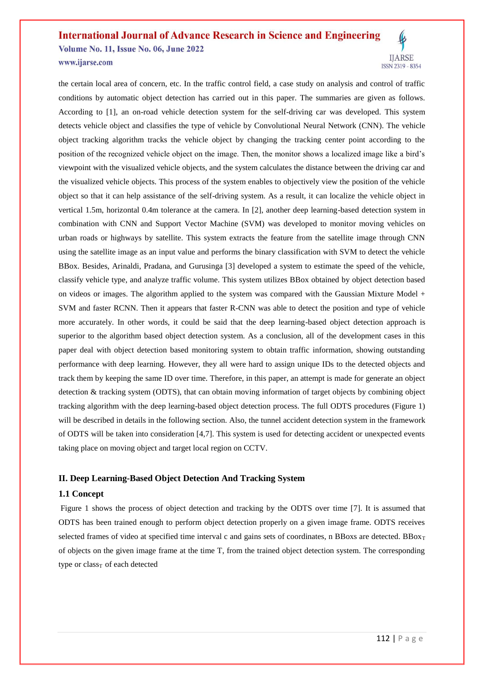# **International Journal of Advance Research in Science and Engineering Volume No. 11, Issue No. 06, June 2022**

www.ijarse.com



the certain local area of concern, etc. In the traffic control field, a case study on analysis and control of traffic conditions by automatic object detection has carried out in this paper. The summaries are given as follows. According to [1], an on-road vehicle detection system for the self-driving car was developed. This system detects vehicle object and classifies the type of vehicle by Convolutional Neural Network (CNN). The vehicle object tracking algorithm tracks the vehicle object by changing the tracking center point according to the position of the recognized vehicle object on the image. Then, the monitor shows a localized image like a bird's viewpoint with the visualized vehicle objects, and the system calculates the distance between the driving car and the visualized vehicle objects. This process of the system enables to objectively view the position of the vehicle object so that it can help assistance of the self-driving system. As a result, it can localize the vehicle object in vertical 1.5m, horizontal 0.4m tolerance at the camera. In [2], another deep learning-based detection system in combination with CNN and Support Vector Machine (SVM) was developed to monitor moving vehicles on urban roads or highways by satellite. This system extracts the feature from the satellite image through CNN using the satellite image as an input value and performs the binary classification with SVM to detect the vehicle BBox. Besides, Arinaldi, Pradana, and Gurusinga [3] developed a system to estimate the speed of the vehicle, classify vehicle type, and analyze traffic volume. This system utilizes BBox obtained by object detection based on videos or images. The algorithm applied to the system was compared with the Gaussian Mixture Model + SVM and faster RCNN. Then it appears that faster R-CNN was able to detect the position and type of vehicle more accurately. In other words, it could be said that the deep learning-based object detection approach is superior to the algorithm based object detection system. As a conclusion, all of the development cases in this paper deal with object detection based monitoring system to obtain traffic information, showing outstanding performance with deep learning. However, they all were hard to assign unique IDs to the detected objects and track them by keeping the same ID over time. Therefore, in this paper, an attempt is made for generate an object detection & tracking system (ODTS), that can obtain moving information of target objects by combining object tracking algorithm with the deep learning-based object detection process. The full ODTS procedures (Figure 1) will be described in details in the following section. Also, the tunnel accident detection system in the framework of ODTS will be taken into consideration [4,7]. This system is used for detecting accident or unexpected events taking place on moving object and target local region on CCTV.

# **II. Deep Learning-Based Object Detection And Tracking System**

# **1.1 Concept**

Figure 1 shows the process of object detection and tracking by the ODTS over time [7]. It is assumed that ODTS has been trained enough to perform object detection properly on a given image frame. ODTS receives selected frames of video at specified time interval c and gains sets of coordinates, n BBoxs are detected. BBo $x_T$ of objects on the given image frame at the time T, from the trained object detection system. The corresponding type or  $class<sub>T</sub>$  of each detected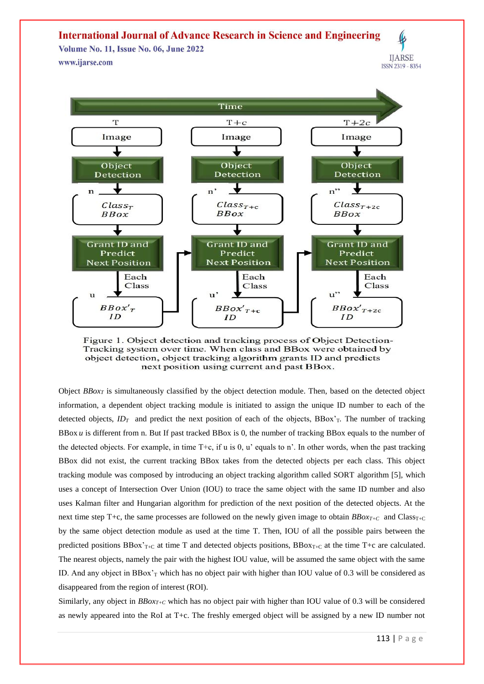**Volume No. 11, Issue No. 06, June 2022** www.ijarse.com





Figure 1. Object detection and tracking process of Object Detection-Tracking system over time. When class and BBox were obtained by object detection, object tracking algorithm grants ID and predicts next position using current and past BBox.

Object *BBox<sup>T</sup>* is simultaneously classified by the object detection module. Then, based on the detected object information, a dependent object tracking module is initiated to assign the unique ID number to each of the detected objects,  $ID_T$  and predict the next position of each of the objects, BBox'<sub>T</sub>. The number of tracking BBox *u* is different from n. But If past tracked BBox is 0, the number of tracking BBox equals to the number of the detected objects. For example, in time  $T+c$ , if u is 0, u' equals to n'. In other words, when the past tracking BBox did not exist, the current tracking BBox takes from the detected objects per each class. This object tracking module was composed by introducing an object tracking algorithm called SORT algorithm [5], which uses a concept of Intersection Over Union (IOU) to trace the same object with the same ID number and also uses Kalman filter and Hungarian algorithm for prediction of the next position of the detected objects. At the next time step T+c, the same processes are followed on the newly given image to obtain  $BBox_{T+C}$  and Class<sub>T+C</sub> by the same object detection module as used at the time T. Then, IOU of all the possible pairs between the predicted positions BBox'<sub>T+C</sub> at time T and detected objects positions, BBox<sub>T+C</sub> at the time T+c are calculated. The nearest objects, namely the pair with the highest IOU value, will be assumed the same object with the same ID. And any object in BBox'<sub>T</sub> which has no object pair with higher than IOU value of 0.3 will be considered as disappeared from the region of interest (ROI).

Similarly, any object in  $BBox<sub>T+C</sub>$  which has no object pair with higher than IOU value of 0.3 will be considered as newly appeared into the RoI at T+c. The freshly emerged object will be assigned by a new ID number not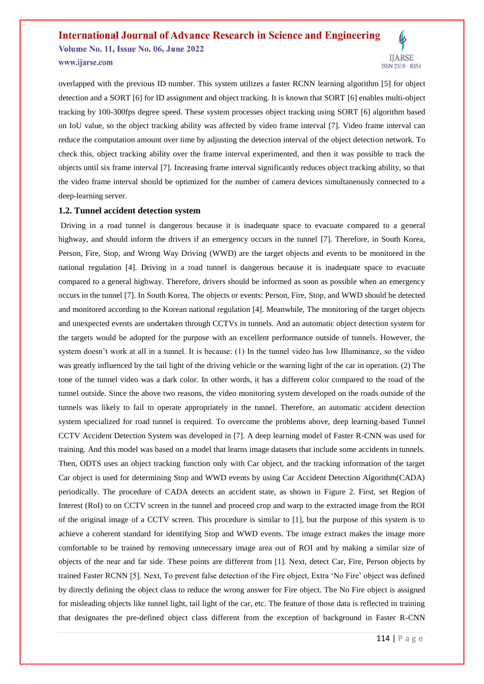**Volume No. 11, Issue No. 06, June 2022** www.ijarse.com



overlapped with the previous ID number. This system utilizes a faster RCNN learning algorithm [5] for object detection and a SORT [6] for ID assignment and object tracking. It is known that SORT [6] enables multi-object tracking by 100-300fps degree speed. These system processes object tracking using SORT [6] algorithm based on IoU value, so the object tracking ability was affected by video frame interval [7]. Video frame interval can reduce the computation amount over time by adjusting the detection interval of the object detection network. To check this, object tracking ability over the frame interval experimented, and then it was possible to track the objects until six frame interval [7]. Increasing frame interval significantly reduces object tracking ability, so that the video frame interval should be optimized for the number of camera devices simultaneously connected to a deep-learning server.

#### **1.2. Tunnel accident detection system**

Driving in a road tunnel is dangerous because it is inadequate space to evacuate compared to a general highway, and should inform the drivers if an emergency occurs in the tunnel [7]. Therefore, in South Korea, Person, Fire, Stop, and Wrong Way Driving (WWD) are the target objects and events to be monitored in the national regulation [4]. Driving in a road tunnel is dangerous because it is inadequate space to evacuate compared to a general highway. Therefore, drivers should be informed as soon as possible when an emergency occurs in the tunnel [7]. In South Korea, The objects or events: Person, Fire, Stop, and WWD should be detected and monitored according to the Korean national regulation [4]. Meanwhile, The monitoring of the target objects and unexpected events are undertaken through CCTVs in tunnels. And an automatic object detection system for the targets would be adopted for the purpose with an excellent performance outside of tunnels. However, the system doesn't work at all in a tunnel. It is because: (1) In the tunnel video has low Illuminance, so the video was greatly influenced by the tail light of the driving vehicle or the warning light of the car in operation. (2) The tone of the tunnel video was a dark color. In other words, it has a different color compared to the road of the tunnel outside. Since the above two reasons, the video monitoring system developed on the roads outside of the tunnels was likely to fail to operate appropriately in the tunnel. Therefore, an automatic accident detection system specialized for road tunnel is required. To overcome the problems above, deep learning-based Tunnel CCTV Accident Detection System was developed in [7]. A deep learning model of Faster R-CNN was used for training. And this model was based on a model that learns image datasets that include some accidents in tunnels. Then, ODTS uses an object tracking function only with Car object, and the tracking information of the target Car object is used for determining Stop and WWD events by using Car Accident Detection Algorithm(CADA) periodically. The procedure of CADA detects an accident state, as shown in Figure 2. First, set Region of Interest (RoI) to on CCTV screen in the tunnel and proceed crop and warp to the extracted image from the ROI of the original image of a CCTV screen. This procedure is similar to [1], but the purpose of this system is to achieve a coherent standard for identifying Stop and WWD events. The image extract makes the image more comfortable to be trained by removing unnecessary image area out of ROI and by making a similar size of objects of the near and far side. These points are different from [1]. Next, detect Car, Fire, Person objects by trained Faster RCNN [5]. Next, To prevent false detection of the Fire object, Extra 'No Fire' object was defined by directly defining the object class to reduce the wrong answer for Fire object. The No Fire object is assigned for misleading objects like tunnel light, tail light of the car, etc. The feature of those data is reflected in training that designates the pre-defined object class different from the exception of background in Faster R-CNN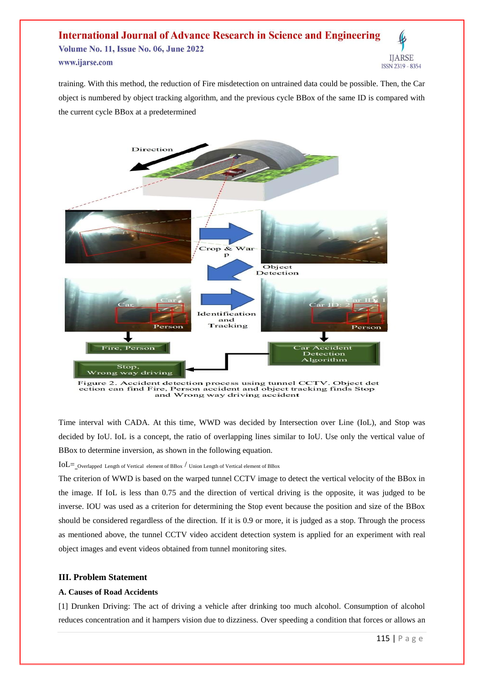#### **International Journal of Advance Research in Science and Engineering Volume No. 11, Issue No. 06, June 2022 IJARSE** www.ijarse.com ISSN 2319 - 8354

training. With this method, the reduction of Fire misdetection on untrained data could be possible. Then, the Car object is numbered by object tracking algorithm, and the previous cycle BBox of the same ID is compared with the current cycle BBox at a predetermined



Figure 2. Accident detection process using tunnel CCTV. Object det ection can find Fire, Person accident and object tracking finds Stop<br>and Wrong way driving accident

Time interval with CADA. At this time, WWD was decided by Intersection over Line (IoL), and Stop was decided by IoU. IoL is a concept, the ratio of overlapping lines similar to IoU. Use only the vertical value of BBox to determine inversion, as shown in the following equation.

 $IoL =$  Overlapped Length of Vertical element of BBox  $/$  Union Length of Vertical element of BBox

The criterion of WWD is based on the warped tunnel CCTV image to detect the vertical velocity of the BBox in the image. If IoL is less than 0.75 and the direction of vertical driving is the opposite, it was judged to be inverse. IOU was used as a criterion for determining the Stop event because the position and size of the BBox should be considered regardless of the direction. If it is 0.9 or more, it is judged as a stop. Through the process as mentioned above, the tunnel CCTV video accident detection system is applied for an experiment with real object images and event videos obtained from tunnel monitoring sites.

# **III. Problem Statement**

#### **A. Causes of Road Accidents**

[1] Drunken Driving: The act of driving a vehicle after drinking too much alcohol. Consumption of alcohol reduces concentration and it hampers vision due to dizziness. Over speeding a condition that forces or allows an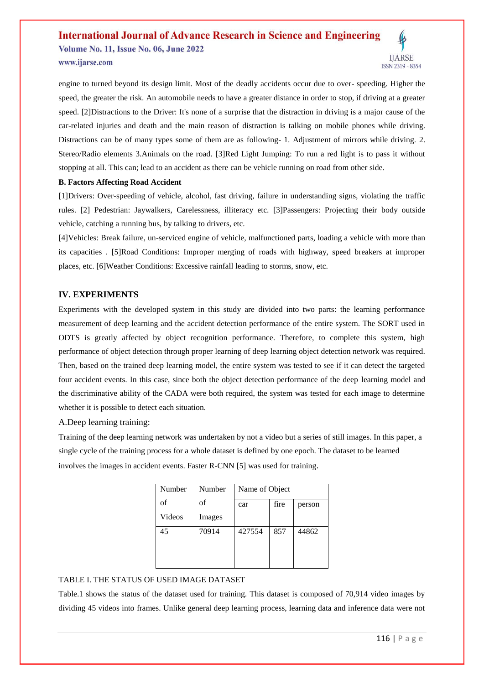**Volume No. 11, Issue No. 06, June 2022** www.ijarse.com



engine to turned beyond its design limit. Most of the deadly accidents occur due to over- speeding. Higher the speed, the greater the risk. An automobile needs to have a greater distance in order to stop, if driving at a greater speed. [2]Distractions to the Driver: It's none of a surprise that the distraction in driving is a major cause of the car-related injuries and death and the main reason of distraction is talking on mobile phones while driving. Distractions can be of many types some of them are as following- 1. Adjustment of mirrors while driving. 2. Stereo/Radio elements 3.Animals on the road. [3]Red Light Jumping: To run a red light is to pass it without stopping at all. This can; lead to an accident as there can be vehicle running on road from other side.

#### **B. Factors Affecting Road Accident**

[1]Drivers: Over-speeding of vehicle, alcohol, fast driving, failure in understanding signs, violating the traffic rules. [2] Pedestrian: Jaywalkers, Carelessness, illiteracy etc. [3]Passengers: Projecting their body outside vehicle, catching a running bus, by talking to drivers, etc.

[4]Vehicles: Break failure, un-serviced engine of vehicle, malfunctioned parts, loading a vehicle with more than its capacities . [5]Road Conditions: Improper merging of roads with highway, speed breakers at improper places, etc. [6]Weather Conditions: Excessive rainfall leading to storms, snow, etc.

# **IV. EXPERIMENTS**

Experiments with the developed system in this study are divided into two parts: the learning performance measurement of deep learning and the accident detection performance of the entire system. The SORT used in ODTS is greatly affected by object recognition performance. Therefore, to complete this system, high performance of object detection through proper learning of deep learning object detection network was required. Then, based on the trained deep learning model, the entire system was tested to see if it can detect the targeted four accident events. In this case, since both the object detection performance of the deep learning model and the discriminative ability of the CADA were both required, the system was tested for each image to determine whether it is possible to detect each situation.

A.Deep learning training:

Training of the deep learning network was undertaken by not a video but a series of still images. In this paper, a single cycle of the training process for a whole dataset is defined by one epoch. The dataset to be learned involves the images in accident events. Faster R-CNN [5] was used for training.

| Number | Number | Name of Object |      |        |
|--------|--------|----------------|------|--------|
| of     | of     | car            | fire | person |
| Videos | Images |                |      |        |
| 45     | 70914  | 427554         | 857  | 44862  |
|        |        |                |      |        |
|        |        |                |      |        |

# TABLE I. THE STATUS OF USED IMAGE DATASET

Table.1 shows the status of the dataset used for training. This dataset is composed of 70,914 video images by dividing 45 videos into frames. Unlike general deep learning process, learning data and inference data were not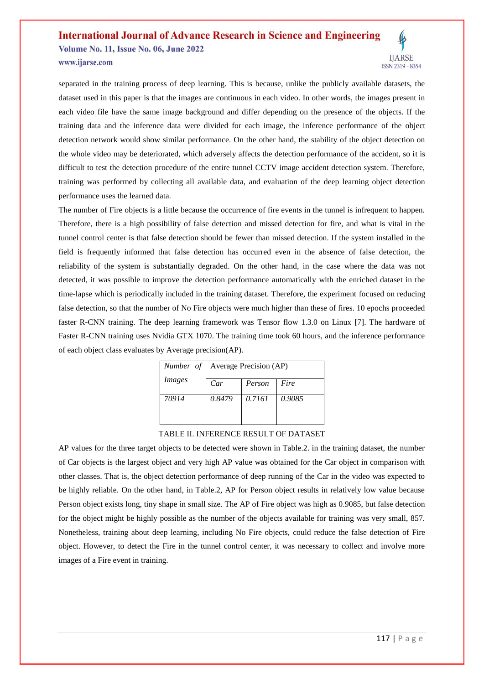**Volume No. 11, Issue No. 06, June 2022** www.ijarse.com



separated in the training process of deep learning. This is because, unlike the publicly available datasets, the dataset used in this paper is that the images are continuous in each video. In other words, the images present in each video file have the same image background and differ depending on the presence of the objects. If the training data and the inference data were divided for each image, the inference performance of the object detection network would show similar performance. On the other hand, the stability of the object detection on the whole video may be deteriorated, which adversely affects the detection performance of the accident, so it is difficult to test the detection procedure of the entire tunnel CCTV image accident detection system. Therefore, training was performed by collecting all available data, and evaluation of the deep learning object detection performance uses the learned data.

The number of Fire objects is a little because the occurrence of fire events in the tunnel is infrequent to happen. Therefore, there is a high possibility of false detection and missed detection for fire, and what is vital in the tunnel control center is that false detection should be fewer than missed detection. If the system installed in the field is frequently informed that false detection has occurred even in the absence of false detection, the reliability of the system is substantially degraded. On the other hand, in the case where the data was not detected, it was possible to improve the detection performance automatically with the enriched dataset in the time-lapse which is periodically included in the training dataset. Therefore, the experiment focused on reducing false detection, so that the number of No Fire objects were much higher than these of fires. 10 epochs proceeded faster R-CNN training. The deep learning framework was Tensor flow 1.3.0 on Linux [7]. The hardware of Faster R-CNN training uses Nvidia GTX 1070. The training time took 60 hours, and the inference performance of each object class evaluates by Average precision(AP).

|               | <i>Number of</i>   Average Precision (AP) |        |        |  |
|---------------|-------------------------------------------|--------|--------|--|
| <i>Images</i> | Car                                       | Person | Fire   |  |
| 70914         | 0.8479                                    | 0.7161 | 0.9085 |  |
|               |                                           |        |        |  |

#### TABLE II. INFERENCE RESULT OF DATASET

AP values for the three target objects to be detected were shown in Table.2. in the training dataset, the number of Car objects is the largest object and very high AP value was obtained for the Car object in comparison with other classes. That is, the object detection performance of deep running of the Car in the video was expected to be highly reliable. On the other hand, in Table.2, AP for Person object results in relatively low value because Person object exists long, tiny shape in small size. The AP of Fire object was high as 0.9085, but false detection for the object might be highly possible as the number of the objects available for training was very small, 857. Nonetheless, training about deep learning, including No Fire objects, could reduce the false detection of Fire object. However, to detect the Fire in the tunnel control center, it was necessary to collect and involve more images of a Fire event in training.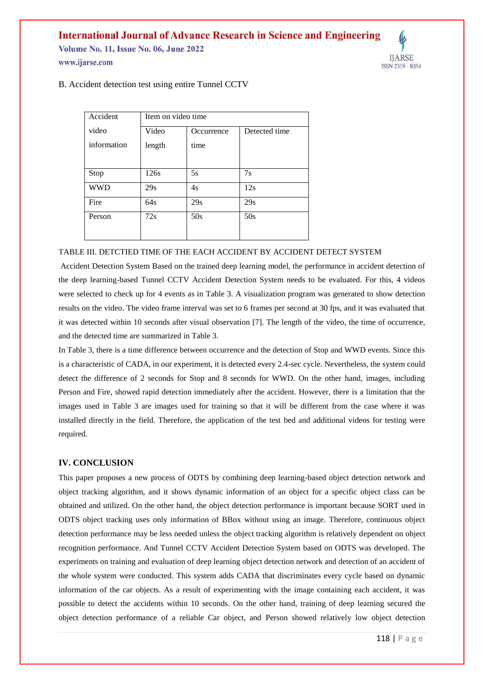**Volume No. 11, Issue No. 06, June 2022** www.ijarse.com



B. Accident detection test using entire Tunnel CCTV

| Accident    | Item on video time |            |               |  |
|-------------|--------------------|------------|---------------|--|
| video       | Video              | Occurrence | Detected time |  |
| information | length             | time       |               |  |
|             |                    |            |               |  |
| Stop        | 126s               | 5s         | 7s            |  |
| <b>WWD</b>  | 29s                | 4s         | 12s           |  |
| Fire        | 64s                | 29s        | 29s           |  |
| Person      | 72s                | 50s        | 50s           |  |
|             |                    |            |               |  |

#### TABLE III. DETCTIED TIME OF THE EACH ACCIDENT BY ACCIDENT DETECT SYSTEM

Accident Detection System Based on the trained deep learning model, the performance in accident detection of the deep learning-based Tunnel CCTV Accident Detection System needs to be evaluated. For this, 4 videos were selected to check up for 4 events as in Table 3. A visualization program was generated to show detection results on the video. The video frame interval was set to 6 frames per second at 30 fps, and it was evaluated that it was detected within 10 seconds after visual observation [7]. The length of the video, the time of occurrence, and the detected time are summarized in Table 3.

In Table 3, there is a time difference between occurrence and the detection of Stop and WWD events. Since this is a characteristic of CADA, in our experiment, it is detected every 2.4-sec cycle. Nevertheless, the system could detect the difference of 2 seconds for Stop and 8 seconds for WWD. On the other hand, images, including Person and Fire, showed rapid detection immediately after the accident. However, there is a limitation that the images used in Table 3 are images used for training so that it will be different from the case where it was installed directly in the field. Therefore, the application of the test bed and additional videos for testing were required.

# **IV. CONCLUSION**

This paper proposes a new process of ODTS by combining deep learning-based object detection network and object tracking algorithm, and it shows dynamic information of an object for a specific object class can be obtained and utilized. On the other hand, the object detection performance is important because SORT used in ODTS object tracking uses only information of BBox without using an image. Therefore, continuous object detection performance may be less needed unless the object tracking algorithm is relatively dependent on object recognition performance. And Tunnel CCTV Accident Detection System based on ODTS was developed. The experiments on training and evaluation of deep learning object detection network and detection of an accident of the whole system were conducted. This system adds CADA that discriminates every cycle based on dynamic information of the car objects. As a result of experimenting with the image containing each accident, it was possible to detect the accidents within 10 seconds. On the other hand, training of deep learning secured the object detection performance of a reliable Car object, and Person showed relatively low object detection